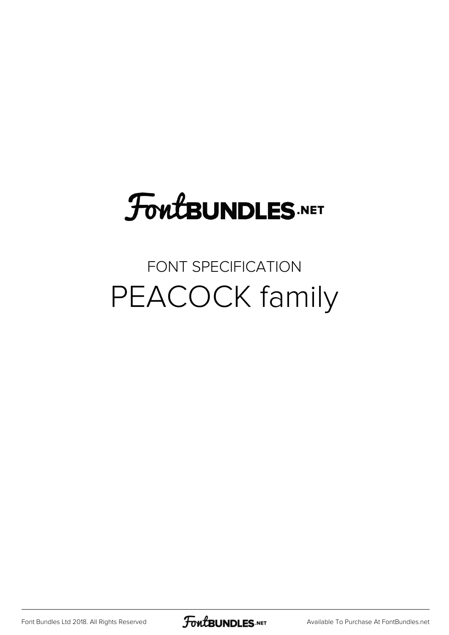# **FoutBUNDLES.NET**

## FONT SPECIFICATION PEACOCK family

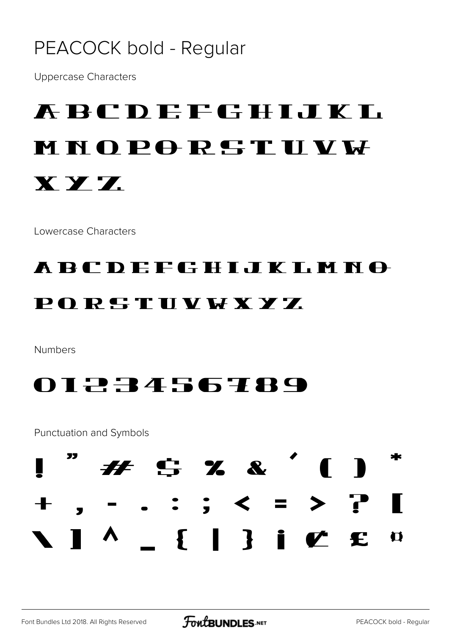#### PEACOCK bold - Regular

**Uppercase Characters** 

## ABCDEFGHIJKL MNOPORSTUVW **XY7.**

I owercase Characters

## A B C D E E G H I J K T. M N O **PORSTUVWXYZ**

**Numbers** 

#### 0123456789

**Punctuation and Symbols** 

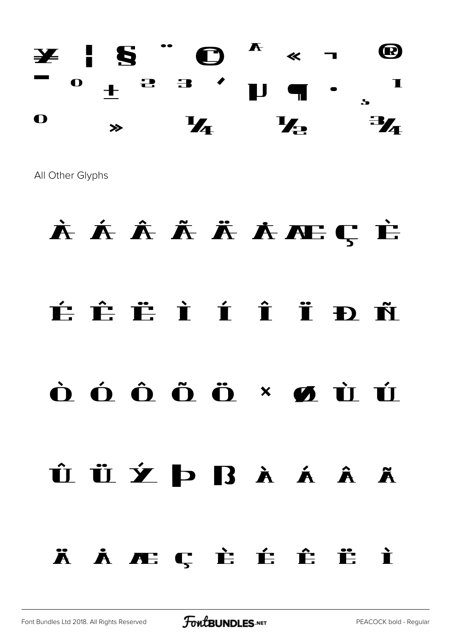# **¥ ¦ § ¨ © ª « ¬ ® ¯ ° ± ² ³ ´ µ ¶ · ¸ ¹**  $\mathbf{v}$   $\mathbf{v}$   $\mathbf{v}$   $\mathbf{v}$   $\mathbf{v}$   $\mathbf{v}$

All Other Glyphs

# **À Á Â Ã Ä ÅÆ Ç È É Ê Ë Ì Í Î Ï Ð Ñ Ò Ó Ô Õ Ö × Ø Ù Ú Û Ü Ý Þ ß à á â ã ä å æ ç è é ê ë ì**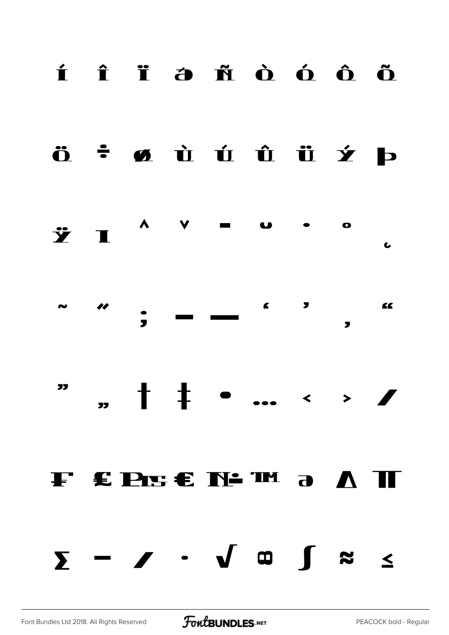#### **í î ï ð ñ ò ó ô õ**

#### **ö ÷ ø ù ú û ü ý þ**







#### **₣ ₤₧€ №™ ∂ ∆ ∏**

# **∑ − ∕ ∙ √ ∞ ∫ ≈ ≤**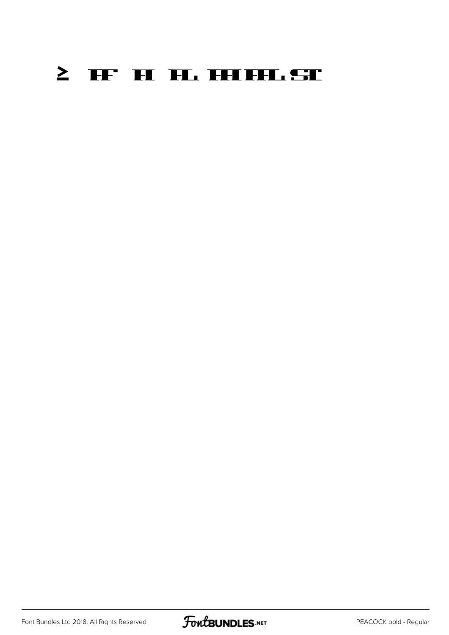#### **≥ ff fi fl ffifflst**

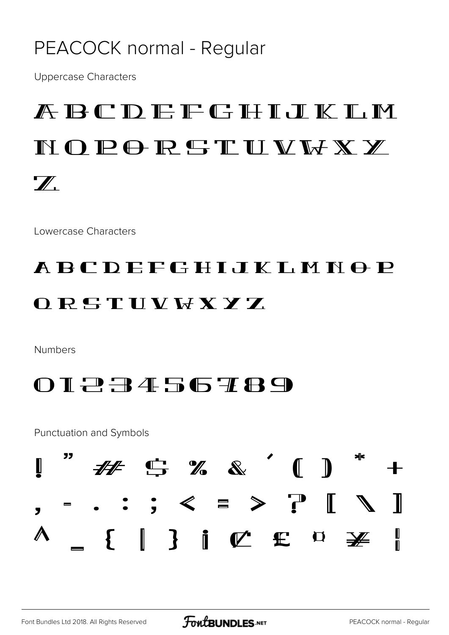#### PEACOCK normal - Regular

**Uppercase Characters** 

## $A \cup B \cap D$   $\vdash$   $\vdash$   $\vdash$   $\vdash$   $\vdash$   $\vdash$   $\vdash$   $\vdash$   $\vdash$   $\vdash$   $\vdash$   $\vdash$   $\vdash$ NOPORSTUVWXX  $\mathbb{Z}$

I owercase Characters

## **ABCDEFGHIJKLMNOP**  $0$  R S T U V W X Y Z

**Numbers** 

#### 0123456789

**Punctuation and Symbols** 

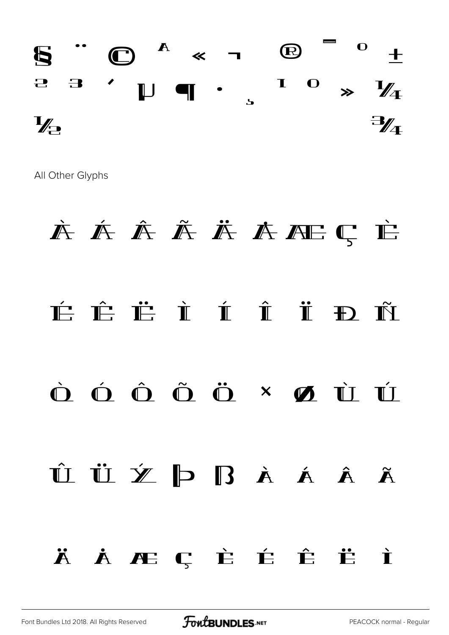

All Other Glyphs

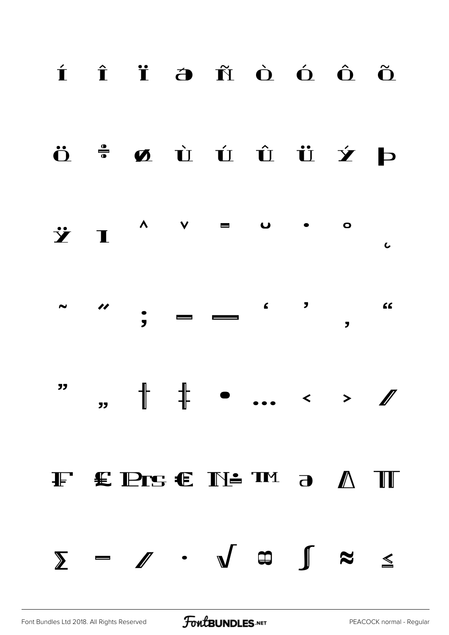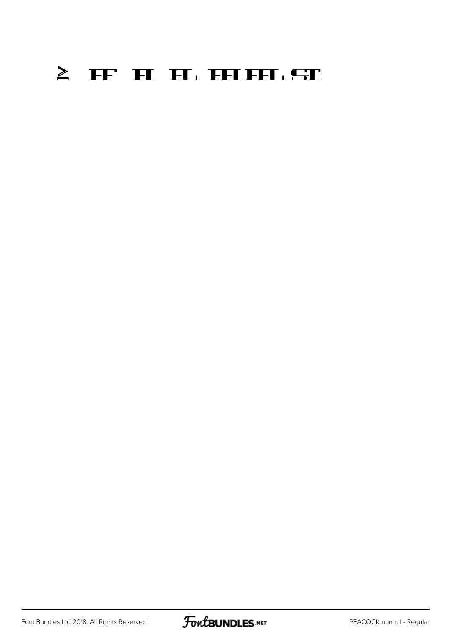#### ≥ FF FI FL FFIFFL ST

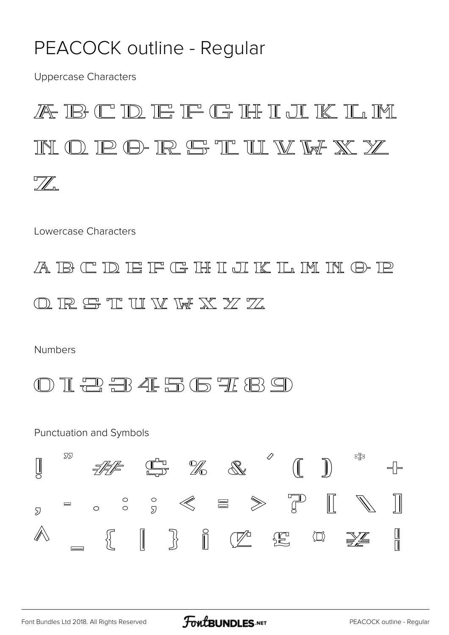#### PEACOCK outline - Regular

**Uppercase Characters** 

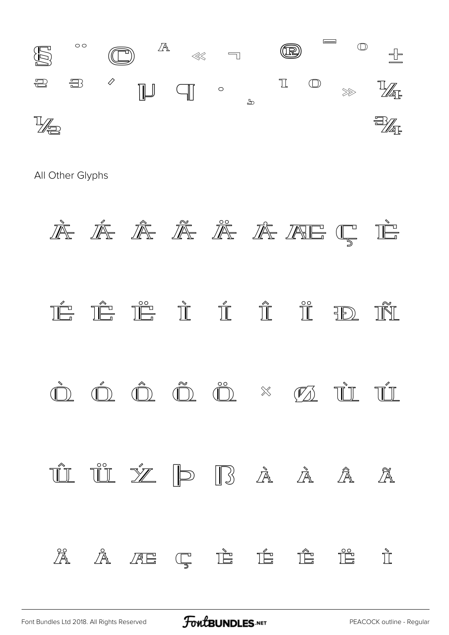

All Other Glyphs



[Font Bundles Ltd 2018. All Rights Reserved](https://fontbundles.net/) **FoutBUNDLES.NET** [PEACOCK outline - Regular](https://fontbundles.net/)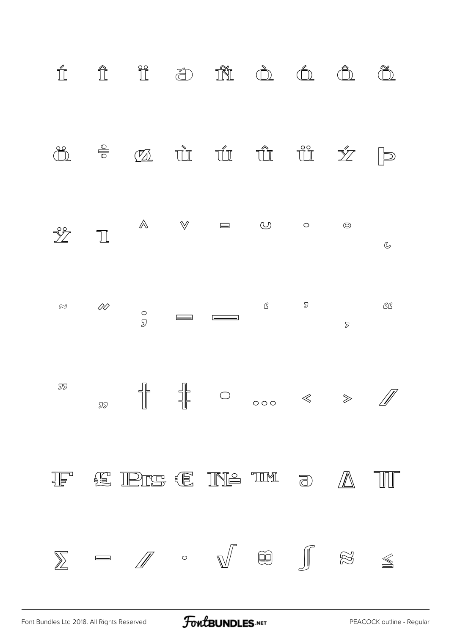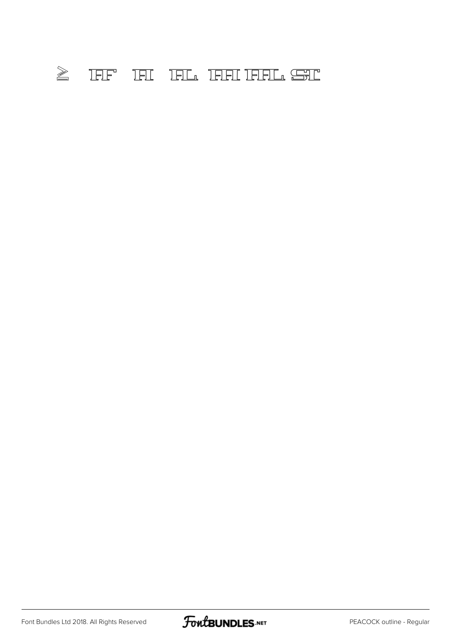

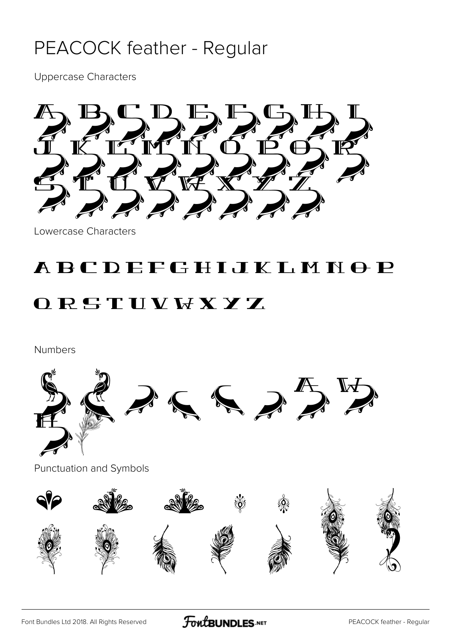#### PEACOCK feather - Regular

Uppercase Characters



Lowercase Characters

### **ABCDEFGHIJKLMNOP**

#### ORSTUVWXYZ

Numbers



**Punctuation and Symbols** 

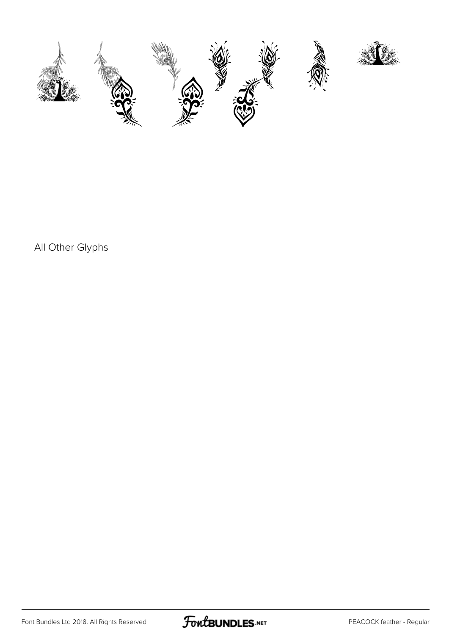



All Other Glyphs



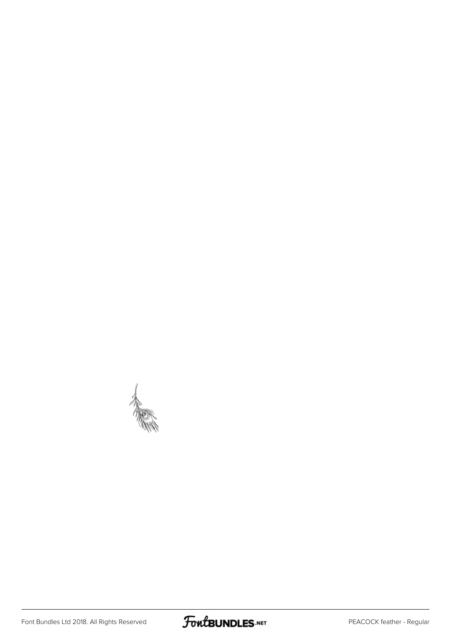